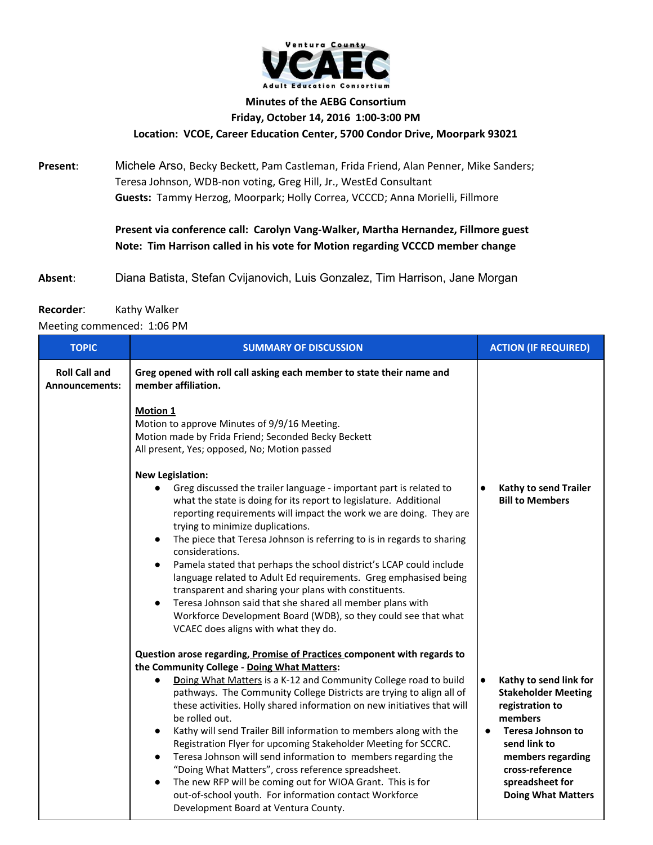

## **Minutes of the AEBG Consortium Friday, October 14, 2016 1:00-3:00 PM Location: VCOE, Career Education Center, 5700 Condor Drive, Moorpark 93021**

## **Present**: Michele Arso, Becky Beckett, Pam Castleman, Frida Friend, Alan Penner, Mike Sanders; Teresa Johnson, WDB-non voting, Greg Hill, Jr., WestEd Consultant

**Guests:** Tammy Herzog, Moorpark; Holly Correa, VCCCD; Anna Morielli, Fillmore

**Present via conference call: Carolyn Vang-Walker, Martha Hernandez, Fillmore guest Note: Tim Harrison called in his vote for Motion regarding VCCCD member change**

**Absent**: Diana Batista, Stefan Cvijanovich, Luis Gonzalez, Tim Harrison, Jane Morgan

## **Recorder:** Kathy Walker

Meeting commenced: 1:06 PM

| <b>TOPIC</b>                                  | <b>SUMMARY OF DISCUSSION</b>                                                                                                                                                                                                                                                                                                                                                                                                                                                                                                                                                                                                                                                                                                                                                                                                                                                                                                                                                                                                                                                       | <b>ACTION (IF REQUIRED)</b>                                                                                                                                                                                                                      |
|-----------------------------------------------|------------------------------------------------------------------------------------------------------------------------------------------------------------------------------------------------------------------------------------------------------------------------------------------------------------------------------------------------------------------------------------------------------------------------------------------------------------------------------------------------------------------------------------------------------------------------------------------------------------------------------------------------------------------------------------------------------------------------------------------------------------------------------------------------------------------------------------------------------------------------------------------------------------------------------------------------------------------------------------------------------------------------------------------------------------------------------------|--------------------------------------------------------------------------------------------------------------------------------------------------------------------------------------------------------------------------------------------------|
| <b>Roll Call and</b><br><b>Announcements:</b> | Greg opened with roll call asking each member to state their name and<br>member affiliation.<br><b>Motion 1</b><br>Motion to approve Minutes of 9/9/16 Meeting.<br>Motion made by Frida Friend; Seconded Becky Beckett<br>All present, Yes; opposed, No; Motion passed<br><b>New Legislation:</b><br>Greg discussed the trailer language - important part is related to<br>$\bullet$<br>what the state is doing for its report to legislature. Additional<br>reporting requirements will impact the work we are doing. They are<br>trying to minimize duplications.<br>The piece that Teresa Johnson is referring to is in regards to sharing<br>$\bullet$<br>considerations.<br>Pamela stated that perhaps the school district's LCAP could include<br>$\bullet$<br>language related to Adult Ed requirements. Greg emphasised being<br>transparent and sharing your plans with constituents.<br>Teresa Johnson said that she shared all member plans with<br>$\bullet$<br>Workforce Development Board (WDB), so they could see that what<br>VCAEC does aligns with what they do. | Kathy to send Trailer<br>$\bullet$<br><b>Bill to Members</b>                                                                                                                                                                                     |
|                                               | Question arose regarding, Promise of Practices component with regards to<br>the Community College - Doing What Matters:<br>Doing What Matters is a K-12 and Community College road to build<br>$\bullet$<br>pathways. The Community College Districts are trying to align all of<br>these activities. Holly shared information on new initiatives that will<br>be rolled out.<br>Kathy will send Trailer Bill information to members along with the<br>$\bullet$<br>Registration Flyer for upcoming Stakeholder Meeting for SCCRC.<br>Teresa Johnson will send information to members regarding the<br>$\bullet$<br>"Doing What Matters", cross reference spreadsheet.<br>The new RFP will be coming out for WIOA Grant. This is for<br>$\bullet$<br>out-of-school youth. For information contact Workforce<br>Development Board at Ventura County.                                                                                                                                                                                                                                | $\bullet$<br>Kathy to send link for<br><b>Stakeholder Meeting</b><br>registration to<br>members<br><b>Teresa Johnson to</b><br>$\bullet$<br>send link to<br>members regarding<br>cross-reference<br>spreadsheet for<br><b>Doing What Matters</b> |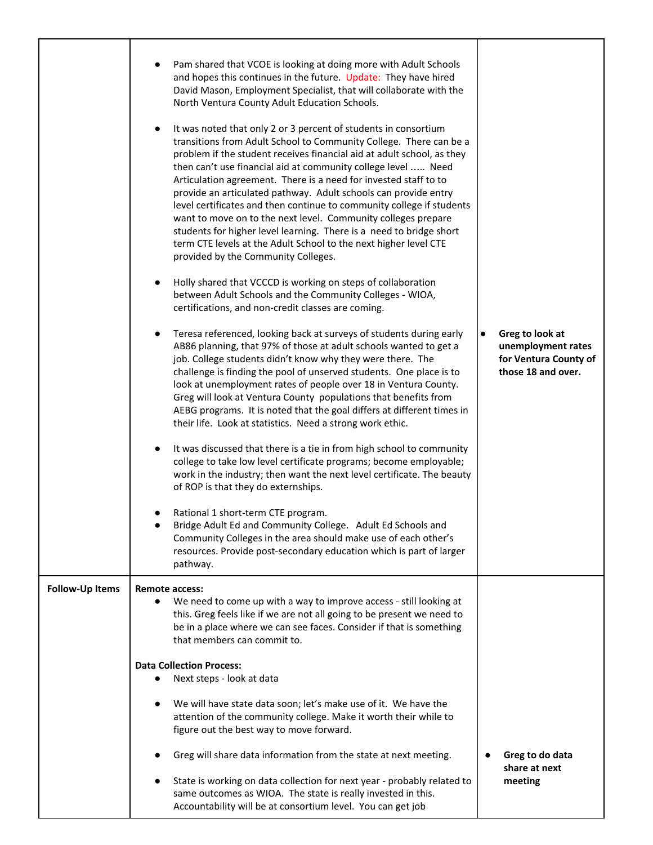|                        | Pam shared that VCOE is looking at doing more with Adult Schools<br>$\bullet$<br>and hopes this continues in the future. Update: They have hired<br>David Mason, Employment Specialist, that will collaborate with the<br>North Ventura County Adult Education Schools.<br>It was noted that only 2 or 3 percent of students in consortium<br>$\bullet$<br>transitions from Adult School to Community College. There can be a<br>problem if the student receives financial aid at adult school, as they<br>then can't use financial aid at community college level  Need<br>Articulation agreement. There is a need for invested staff to to<br>provide an articulated pathway. Adult schools can provide entry<br>level certificates and then continue to community college if students<br>want to move on to the next level. Community colleges prepare<br>students for higher level learning. There is a need to bridge short<br>term CTE levels at the Adult School to the next higher level CTE<br>provided by the Community Colleges.<br>Holly shared that VCCCD is working on steps of collaboration<br>$\bullet$<br>between Adult Schools and the Community Colleges - WIOA,<br>certifications, and non-credit classes are coming.<br>Teresa referenced, looking back at surveys of students during early<br>$\bullet$<br>AB86 planning, that 97% of those at adult schools wanted to get a<br>job. College students didn't know why they were there. The<br>challenge is finding the pool of unserved students. One place is to<br>look at unemployment rates of people over 18 in Ventura County.<br>Greg will look at Ventura County populations that benefits from<br>AEBG programs. It is noted that the goal differs at different times in<br>their life. Look at statistics. Need a strong work ethic.<br>It was discussed that there is a tie in from high school to community<br>$\bullet$<br>college to take low level certificate programs; become employable;<br>work in the industry; then want the next level certificate. The beauty<br>of ROP is that they do externships.<br>Rational 1 short-term CTE program.<br>$\bullet$<br>Bridge Adult Ed and Community College. Adult Ed Schools and<br>Community Colleges in the area should make use of each other's<br>resources. Provide post-secondary education which is part of larger<br>pathway. | $\bullet$ | Greg to look at<br>unemployment rates<br>for Ventura County of<br>those 18 and over. |
|------------------------|---------------------------------------------------------------------------------------------------------------------------------------------------------------------------------------------------------------------------------------------------------------------------------------------------------------------------------------------------------------------------------------------------------------------------------------------------------------------------------------------------------------------------------------------------------------------------------------------------------------------------------------------------------------------------------------------------------------------------------------------------------------------------------------------------------------------------------------------------------------------------------------------------------------------------------------------------------------------------------------------------------------------------------------------------------------------------------------------------------------------------------------------------------------------------------------------------------------------------------------------------------------------------------------------------------------------------------------------------------------------------------------------------------------------------------------------------------------------------------------------------------------------------------------------------------------------------------------------------------------------------------------------------------------------------------------------------------------------------------------------------------------------------------------------------------------------------------------------------------------------------------------------------------------------------------------------------------------------------------------------------------------------------------------------------------------------------------------------------------------------------------------------------------------------------------------------------------------------------------------------------------------------------------------------------------------------------------------------------------------------------|-----------|--------------------------------------------------------------------------------------|
| <b>Follow-Up Items</b> | Remote access:<br>We need to come up with a way to improve access - still looking at<br>$\bullet$<br>this. Greg feels like if we are not all going to be present we need to<br>be in a place where we can see faces. Consider if that is something<br>that members can commit to.                                                                                                                                                                                                                                                                                                                                                                                                                                                                                                                                                                                                                                                                                                                                                                                                                                                                                                                                                                                                                                                                                                                                                                                                                                                                                                                                                                                                                                                                                                                                                                                                                                                                                                                                                                                                                                                                                                                                                                                                                                                                                         |           |                                                                                      |
|                        | <b>Data Collection Process:</b><br>Next steps - look at data<br>$\bullet$                                                                                                                                                                                                                                                                                                                                                                                                                                                                                                                                                                                                                                                                                                                                                                                                                                                                                                                                                                                                                                                                                                                                                                                                                                                                                                                                                                                                                                                                                                                                                                                                                                                                                                                                                                                                                                                                                                                                                                                                                                                                                                                                                                                                                                                                                                 |           |                                                                                      |
|                        | We will have state data soon; let's make use of it. We have the<br>$\bullet$<br>attention of the community college. Make it worth their while to<br>figure out the best way to move forward.                                                                                                                                                                                                                                                                                                                                                                                                                                                                                                                                                                                                                                                                                                                                                                                                                                                                                                                                                                                                                                                                                                                                                                                                                                                                                                                                                                                                                                                                                                                                                                                                                                                                                                                                                                                                                                                                                                                                                                                                                                                                                                                                                                              |           |                                                                                      |
|                        | Greg will share data information from the state at next meeting.<br>$\bullet$<br>State is working on data collection for next year - probably related to<br>$\bullet$<br>same outcomes as WIOA. The state is really invested in this.<br>Accountability will be at consortium level. You can get job                                                                                                                                                                                                                                                                                                                                                                                                                                                                                                                                                                                                                                                                                                                                                                                                                                                                                                                                                                                                                                                                                                                                                                                                                                                                                                                                                                                                                                                                                                                                                                                                                                                                                                                                                                                                                                                                                                                                                                                                                                                                      |           | Greg to do data<br>share at next<br>meeting                                          |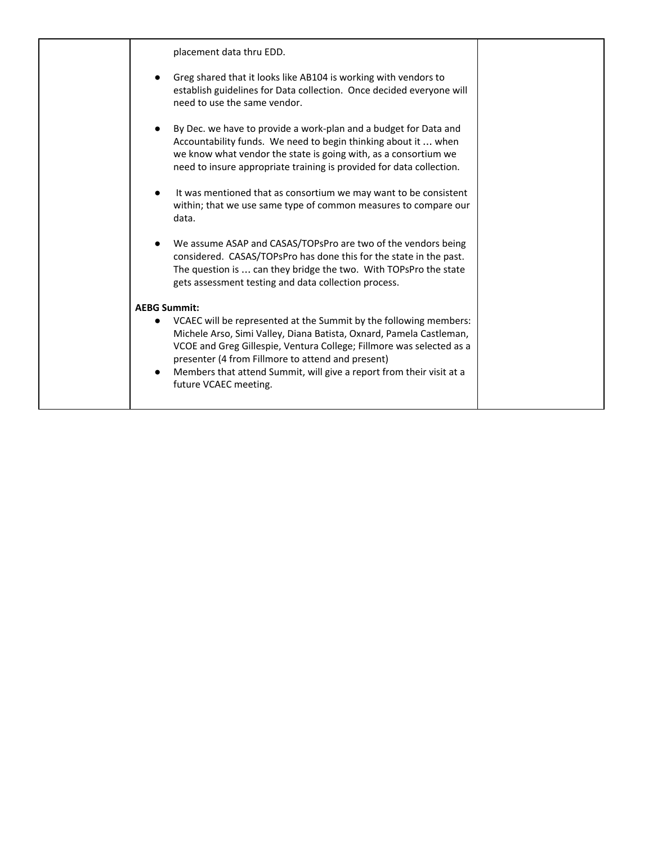| placement data thru EDD.                                                                                                                                                                                                                                                                                                                                               |
|------------------------------------------------------------------------------------------------------------------------------------------------------------------------------------------------------------------------------------------------------------------------------------------------------------------------------------------------------------------------|
| Greg shared that it looks like AB104 is working with vendors to<br>establish guidelines for Data collection. Once decided everyone will<br>need to use the same vendor.                                                                                                                                                                                                |
| By Dec. we have to provide a work-plan and a budget for Data and<br>Accountability funds. We need to begin thinking about it  when<br>we know what vendor the state is going with, as a consortium we<br>need to insure appropriate training is provided for data collection.                                                                                          |
| It was mentioned that as consortium we may want to be consistent<br>within; that we use same type of common measures to compare our<br>data.                                                                                                                                                                                                                           |
| We assume ASAP and CASAS/TOPsPro are two of the vendors being<br>considered. CASAS/TOPsPro has done this for the state in the past.<br>The question is  can they bridge the two. With TOPsPro the state<br>gets assessment testing and data collection process.                                                                                                        |
| <b>AEBG Summit:</b>                                                                                                                                                                                                                                                                                                                                                    |
| VCAEC will be represented at the Summit by the following members:<br>Michele Arso, Simi Valley, Diana Batista, Oxnard, Pamela Castleman,<br>VCOE and Greg Gillespie, Ventura College; Fillmore was selected as a<br>presenter (4 from Fillmore to attend and present)<br>Members that attend Summit, will give a report from their visit at a<br>future VCAEC meeting. |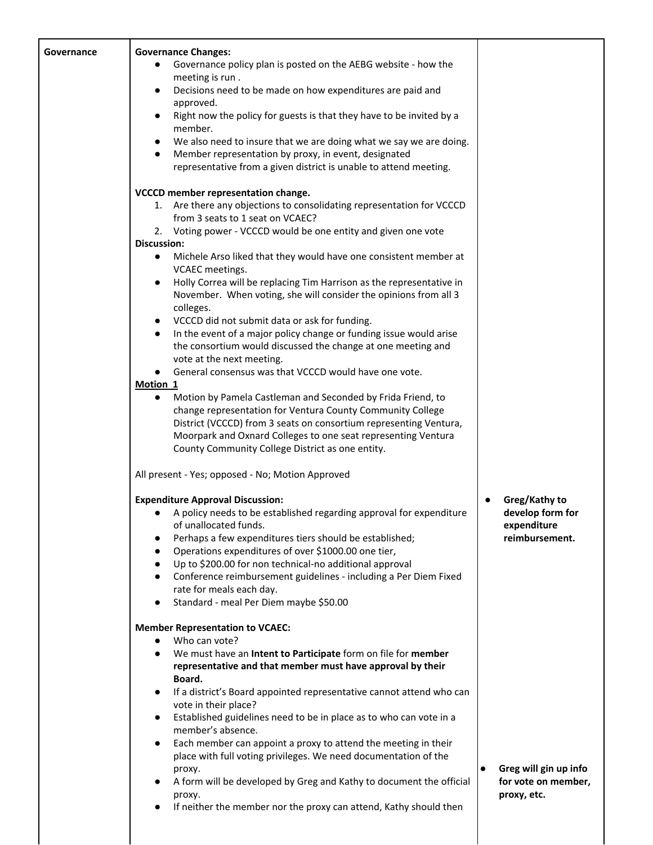| Governance | <b>Governance Changes:</b><br>Governance policy plan is posted on the AEBG website - how the<br>$\bullet$<br>meeting is run.                                                                                                                                                                                                                 |                                                  |
|------------|----------------------------------------------------------------------------------------------------------------------------------------------------------------------------------------------------------------------------------------------------------------------------------------------------------------------------------------------|--------------------------------------------------|
|            | Decisions need to be made on how expenditures are paid and<br>$\bullet$<br>approved.                                                                                                                                                                                                                                                         |                                                  |
|            | Right now the policy for guests is that they have to be invited by a<br>$\bullet$<br>member.                                                                                                                                                                                                                                                 |                                                  |
|            | We also need to insure that we are doing what we say we are doing.<br>$\bullet$<br>Member representation by proxy, in event, designated<br>$\bullet$<br>representative from a given district is unable to attend meeting.                                                                                                                    |                                                  |
|            | VCCCD member representation change.                                                                                                                                                                                                                                                                                                          |                                                  |
|            | 1. Are there any objections to consolidating representation for VCCCD<br>from 3 seats to 1 seat on VCAEC?                                                                                                                                                                                                                                    |                                                  |
|            | 2. Voting power - VCCCD would be one entity and given one vote<br><b>Discussion:</b>                                                                                                                                                                                                                                                         |                                                  |
|            | Michele Arso liked that they would have one consistent member at<br>$\bullet$<br>VCAEC meetings.                                                                                                                                                                                                                                             |                                                  |
|            | Holly Correa will be replacing Tim Harrison as the representative in<br>$\bullet$<br>November. When voting, she will consider the opinions from all 3<br>colleges.                                                                                                                                                                           |                                                  |
|            | VCCCD did not submit data or ask for funding.<br>$\bullet$                                                                                                                                                                                                                                                                                   |                                                  |
|            | In the event of a major policy change or funding issue would arise<br>$\bullet$<br>the consortium would discussed the change at one meeting and                                                                                                                                                                                              |                                                  |
|            | vote at the next meeting.                                                                                                                                                                                                                                                                                                                    |                                                  |
|            | General consensus was that VCCCD would have one vote.<br>$\bullet$                                                                                                                                                                                                                                                                           |                                                  |
|            | Motion 1<br>Motion by Pamela Castleman and Seconded by Frida Friend, to<br>$\bullet$<br>change representation for Ventura County Community College<br>District (VCCCD) from 3 seats on consortium representing Ventura,<br>Moorpark and Oxnard Colleges to one seat representing Ventura<br>County Community College District as one entity. |                                                  |
|            |                                                                                                                                                                                                                                                                                                                                              |                                                  |
|            | All present - Yes; opposed - No; Motion Approved                                                                                                                                                                                                                                                                                             |                                                  |
|            | <b>Expenditure Approval Discussion:</b><br>A policy needs to be established regarding approval for expenditure<br>$\bullet$<br>of unallocated funds.                                                                                                                                                                                         | Greg/Kathy to<br>develop form for<br>expenditure |
|            | Perhaps a few expenditures tiers should be established;<br>Operations expenditures of over \$1000.00 one tier,<br>$\bullet$<br>Up to \$200.00 for non technical-no additional approval<br>$\bullet$                                                                                                                                          | reimbursement.                                   |
|            | Conference reimbursement guidelines - including a Per Diem Fixed<br>$\bullet$<br>rate for meals each day.                                                                                                                                                                                                                                    |                                                  |
|            | Standard - meal Per Diem maybe \$50.00<br>$\bullet$                                                                                                                                                                                                                                                                                          |                                                  |
|            | <b>Member Representation to VCAEC:</b>                                                                                                                                                                                                                                                                                                       |                                                  |
|            | Who can vote?<br>$\bullet$<br>We must have an Intent to Participate form on file for member<br>$\bullet$                                                                                                                                                                                                                                     |                                                  |
|            | representative and that member must have approval by their                                                                                                                                                                                                                                                                                   |                                                  |
|            | Board.<br>If a district's Board appointed representative cannot attend who can<br>$\bullet$                                                                                                                                                                                                                                                  |                                                  |
|            | vote in their place?                                                                                                                                                                                                                                                                                                                         |                                                  |
|            | Established guidelines need to be in place as to who can vote in a<br>member's absence.                                                                                                                                                                                                                                                      |                                                  |
|            | Each member can appoint a proxy to attend the meeting in their<br>$\bullet$                                                                                                                                                                                                                                                                  |                                                  |
|            | place with full voting privileges. We need documentation of the<br>proxy.                                                                                                                                                                                                                                                                    | Greg will gin up info                            |
|            | A form will be developed by Greg and Kathy to document the official<br>proxy.<br>If neither the member nor the proxy can attend, Kathy should then<br>$\bullet$                                                                                                                                                                              | for vote on member,<br>proxy, etc.               |
|            |                                                                                                                                                                                                                                                                                                                                              |                                                  |